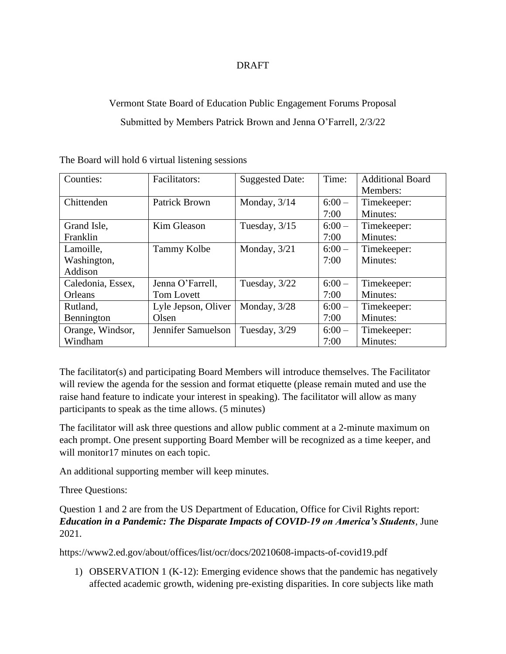## DRAFT

## Vermont State Board of Education Public Engagement Forums Proposal Submitted by Members Patrick Brown and Jenna O'Farrell, 2/3/22

| Counties:         | Facilitators:       | <b>Suggested Date:</b> | Time:   | <b>Additional Board</b> |
|-------------------|---------------------|------------------------|---------|-------------------------|
|                   |                     |                        |         | Members:                |
| Chittenden        | Patrick Brown       | Monday, $3/14$         | $6:00-$ | Timekeeper:             |
|                   |                     |                        | 7:00    | Minutes:                |
| Grand Isle,       | Kim Gleason         | Tuesday, $3/15$        | $6:00-$ | Timekeeper:             |
| Franklin          |                     |                        | 7:00    | Minutes:                |
| Lamoille,         | <b>Tammy Kolbe</b>  | Monday, $3/21$         | $6:00-$ | Timekeeper:             |
| Washington,       |                     |                        | 7:00    | Minutes:                |
| Addison           |                     |                        |         |                         |
| Caledonia, Essex, | Jenna O'Farrell,    | Tuesday, 3/22          | $6:00-$ | Timekeeper:             |
| Orleans           | <b>Tom Lovett</b>   |                        | 7:00    | Minutes:                |
| Rutland,          | Lyle Jepson, Oliver | Monday, 3/28           | $6:00-$ | Timekeeper:             |
| Bennington        | Olsen               |                        | 7:00    | Minutes:                |
| Orange, Windsor,  | Jennifer Samuelson  | Tuesday, 3/29          | $6:00-$ | Timekeeper:             |
| Windham           |                     |                        | 7:00    | Minutes:                |

The Board will hold 6 virtual listening sessions

The facilitator(s) and participating Board Members will introduce themselves. The Facilitator will review the agenda for the session and format etiquette (please remain muted and use the raise hand feature to indicate your interest in speaking). The facilitator will allow as many participants to speak as the time allows. (5 minutes)

The facilitator will ask three questions and allow public comment at a 2-minute maximum on each prompt. One present supporting Board Member will be recognized as a time keeper, and will monitor17 minutes on each topic.

An additional supporting member will keep minutes.

Three Questions:

Question 1 and 2 are from the US Department of Education, Office for Civil Rights report: *Education in a Pandemic: The Disparate Impacts of COVID-19 on America's Students*, June 2021.

https://www2.ed.gov/about/offices/list/ocr/docs/20210608-impacts-of-covid19.pdf

1) OBSERVATION 1 (K-12): Emerging evidence shows that the pandemic has negatively affected academic growth, widening pre-existing disparities. In core subjects like math